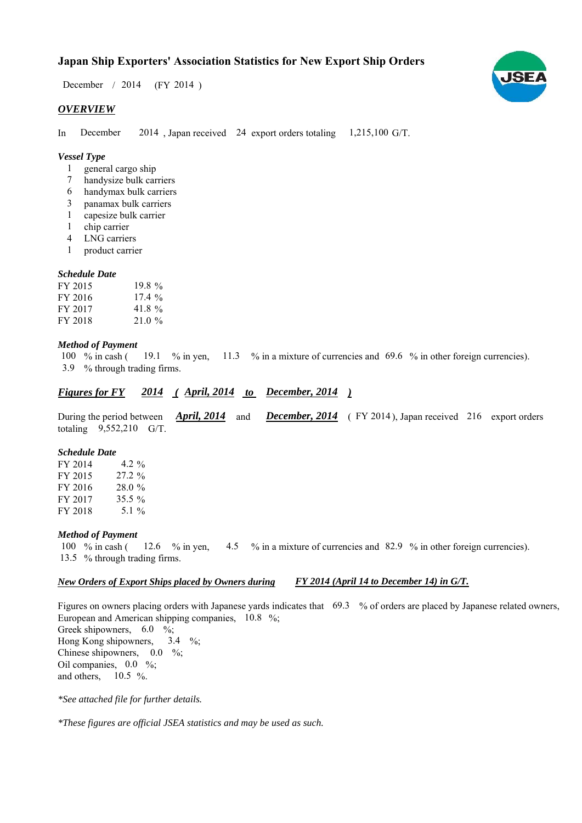# **Japan Ship Exporters' Association Statistics for New Export Ship Orders**

December / 2014 (FY 2014)

## *OVERVIEW*

In December  $2014$ , Japan received 24 export orders totaling  $1,215,100$  G/T. December

# *Vessel Type*

- general cargo ship 1
- handysize bulk carriers 7
- handymax bulk carriers 6
- panamax bulk carriers 3
- capesize bulk carrier 1
- chip carrier 1
- LNG carriers 4
- product carrier 1

### *Schedule Date*

| FY 2015 | 19.8%    |
|---------|----------|
| FY 2016 | $17.4\%$ |
| FY 2017 | 41.8%    |
| FY 2018 | $21.0\%$ |

#### *Method of Payment*

100 % in cash ( $\frac{19.1}{8}$  % in yen,  $\frac{11.3}{8}$  % in a mixture of currencies and 69.6 % in other foreign currencies). % through trading firms. 3.9

#### *Figures for FY* 2014 (*April, 2014 to December, 2014*) *2014*

During the period between *April, 2014* and *December, 2014* (FY 2014), Japan received 216 export orders totaling  $9,552,210$  G/T.

### *Schedule Date*

FY 2014 FY 2015 FY 2016 FY 2017 FY 2018 28.0 % 4.2  $\%$ 27.2 % 35.5 % 5.1  $\%$ 

### *Method of Payment*

% in cash ( $\frac{12.6}{8}$  % in yen,  $\frac{4.5}{8}$  % in a mixture of currencies and 82.9 % in other foreign currencies). 13.5 % through trading firms. 100  $\%$  in cash (

#### *New Orders of Export Ships placed by Owners during FY 2014 (April 14 to December 14) in G/T.*

Figures on owners placing orders with Japanese yards indicates that 69.3 % of orders are placed by Japanese related owners, European and American shipping companies,  $10.8\%$ ; Greek shipowners,  $6.0\%$ ; Hong Kong shipowners, Chinese shipowners,  $0.0\%$ ; Oil companies,  $0.0\%$ ; and others,  $10.5\%$ . 3.4  $\frac{9}{6}$ ;

*\*See attached file for further details.*

*\*These figures are official JSEA statistics and may be used as such.*

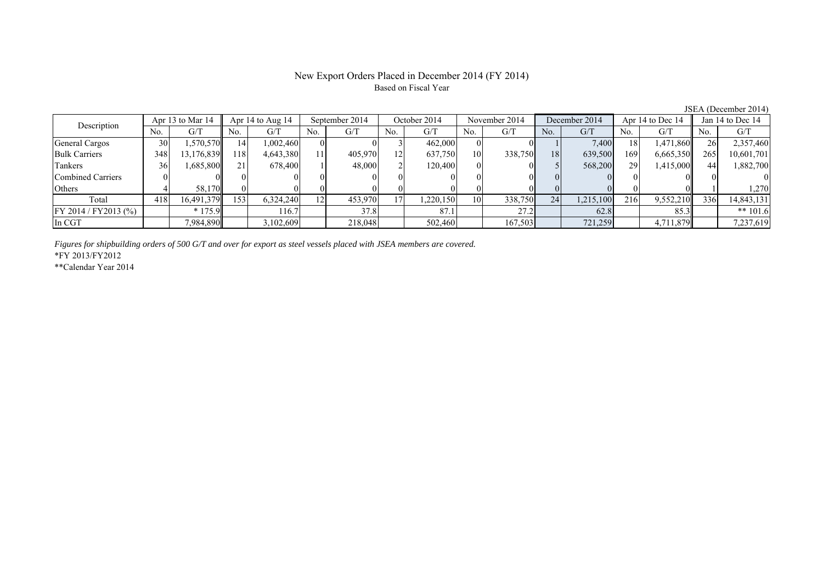# New Export Orders Placed in December 2014 (FY 2014) Based on Fiscal Year

JSEA (December 2014)

| Description              | Apr 13 to Mar 14 |            | Apr $14$ to Aug $14$ |           | September 2014 |         | October 2014 |          | November 2014   |         | December 2014 |           | Apr 14 to Dec 14 |           | Jan 14 to Dec 14 |            |
|--------------------------|------------------|------------|----------------------|-----------|----------------|---------|--------------|----------|-----------------|---------|---------------|-----------|------------------|-----------|------------------|------------|
|                          | No.              | G/T        | No.                  | G/T       | No.            | G/T     | No.          | G/T      | N <sub>0</sub>  | G/T     | No.           | G/T       | No.              | G/T       | No.              | G/T        |
| General Cargos           | 30               | .570.570   | 4                    | 1,002,460 |                |         |              | 462,000  |                 |         |               | 7,400     | 18 <sup>1</sup>  | 1,471,860 | 26I              | 2,357,460  |
| <b>Bulk Carriers</b>     | 348              | 13,176,839 | 118                  | 4,643,380 | 11             | 405,970 | 121          | 637,750  | 10              | 338,750 | 18            | 639,500   | 169              | 6,665,350 | 265              | 10,601,701 |
| Tankers                  | 36               | 1,685,800  |                      | 678.400   |                | 48,000  |              | 120,400  |                 |         |               | 568,200   | 29               | 1,415,000 |                  | 1,882,700  |
| <b>Combined Carriers</b> |                  |            |                      |           |                |         |              |          |                 |         |               |           |                  |           |                  |            |
| Others                   |                  | 58.170     |                      |           |                |         |              |          |                 |         |               |           |                  |           |                  | 1,270      |
| Total                    | 418              | 16,491,379 | 153                  | 6,324,240 | 12             | 453,970 |              | .220.150 | 10 <sub>l</sub> | 338,750 | 24            | 1,215,100 | 216              | 9,552,210 | 336              | 14,843,131 |
| FY 2014 / FY 2013 (%)    |                  | $*175.9$   |                      | 116.7     |                | 37.8    |              | 87.1     |                 | 27.2    |               | 62.8      |                  | 85.3      |                  | ** $101.6$ |
| In CGT                   |                  | 7,984,890  |                      | 3,102,609 |                | 218,048 |              | 502,460  |                 | 167,503 |               | 721,259   |                  | 4,711,879 |                  | 7,237,619  |

*Figures for shipbuilding orders of 500 G/T and over for export as steel vessels placed with JSEA members are covered.*

\*FY 2013/FY2012

\*\*Calendar Year 2014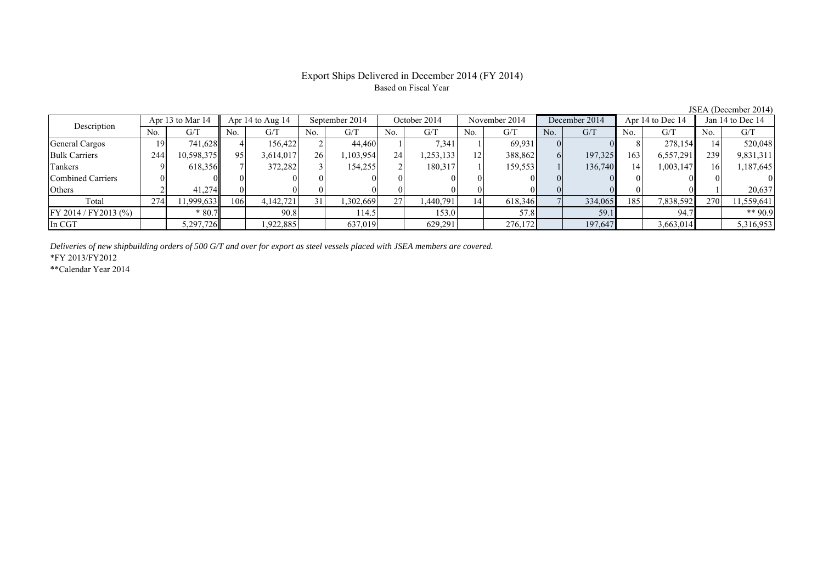# Export Ships Delivered in December 2014 (FY 2014) Based on Fiscal Year

| Description           |     | Apr 13 to Mar 14 |     | Apr $14$ to Aug $14$ |           | September 2014 |     | October 2014 |     | November 2014 |                | December 2014 |     | Apr 14 to Dec 14 |     | Jan 14 to Dec 14 |  |
|-----------------------|-----|------------------|-----|----------------------|-----------|----------------|-----|--------------|-----|---------------|----------------|---------------|-----|------------------|-----|------------------|--|
|                       | No. | G/T              | No. | G/T                  | No.       | G/T            | No. | G/T          | No. | G/T           | No.            | G/T           | No. | G/T              | No. | G/T              |  |
| General Cargos        | 191 | 741,628          |     | 156.422              |           | 44,460         |     | 7,341        |     | 69,931        | $\Omega$       |               |     | 278,154          |     | 520,048          |  |
| <b>Bulk Carriers</b>  | 244 | 10.598.3751      | 95  | 3,614,017            | <b>26</b> | ,103,954       | 24  | 253,133      | 12  | 388,862       | 6 <sup>1</sup> | 197,325       | 163 | 6,557,291        | 239 | 9,831,311        |  |
| Tankers               |     | 618,356          |     | 372.282              |           | 154.255        |     | 180.317      |     | 159,553       |                | 136.740       | 14  | 1,003,147        | 16  | 1,187,645        |  |
| Combined Carriers     |     |                  |     |                      |           |                |     | $\Omega$     |     |               | $\Omega$       |               |     |                  |     |                  |  |
| Others                |     | 41.274           |     |                      |           |                |     | $\Omega$     |     |               |                |               |     |                  |     | 20,637           |  |
| Total                 | 274 | 1,999,633        | 106 | 4,142,721            | 31        | .302,669       | 27  | 1,440,791    | 14  | 618,346       |                | 334,065       | 185 | 7,838,592        | 270 | 11,559,641       |  |
| FY 2014 / FY 2013 (%) |     | $*80.7$          |     | 90.8                 |           | 114.5          |     | 153.0        |     | 57.8          |                | 59.1          |     | 94.7             |     | ** 90.9          |  |
| In CGT                |     | 5,297,726        |     | 1,922,885            |           | 637,019        |     | 629,291      |     | 276,172       |                | 197,647       |     | 3,663,014        |     | 5,316,953        |  |
|                       |     |                  |     |                      |           |                |     |              |     |               |                |               |     |                  |     |                  |  |

*Deliveries of new shipbuilding orders of 500 G/T and over for export as steel vessels placed with JSEA members are covered.*

\*FY 2013/FY2012

\*\*Calendar Year 2014

JSEA (December 2014)